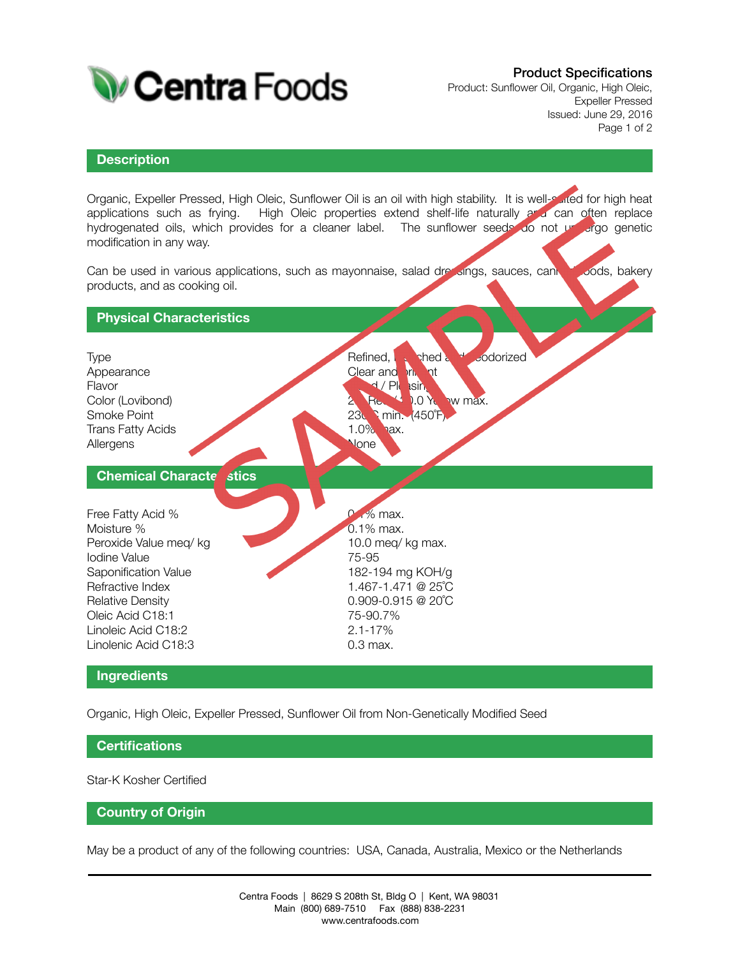

# Product Specifications

Product: Sunflower Oil, Organic, High Oleic, Expeller Pressed Issued: June 29, 2016 Page 1 of 2

#### **Description**

Organic, Expeller Pressed, High Oleic, Sunflower Oil is an oil with high stability. It is well-suited for high heat applications such as frying. High Oleic properties extend shelf-life naturally and can often replace hydrogenated oils, which provides for a cleaner label. The sunflower seeds do not undergo genetic modification in any way.

Can be used in various applications, such as mayonnaise, salad dressings, sauces, canned roods, bakery products, and as cooking oil.



#### **Ingredients**

Organic, High Oleic, Expeller Pressed, Sunflower Oil from Non-Genetically Modified Seed

## **Certifications**

Star-K Kosher Certified

### **Country of Origin**

May be a product of any of the following countries: USA, Canada, Australia, Mexico or the Netherlands